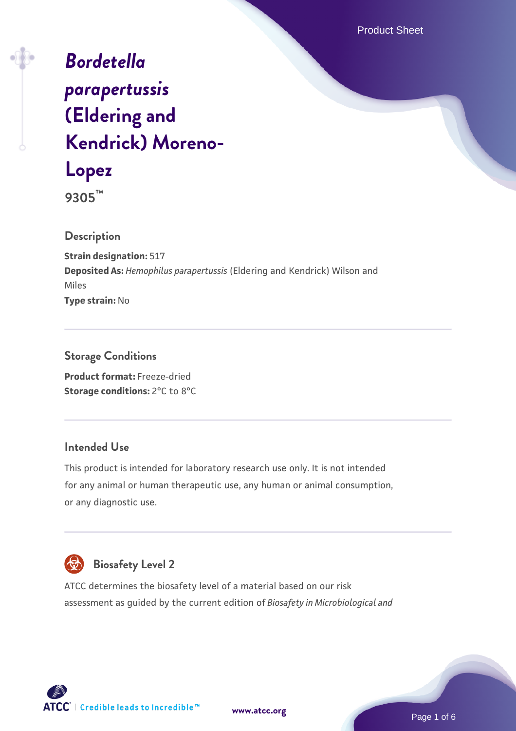Product Sheet

# *[Bordetella](https://www.atcc.org/products/9305) [parapertussis](https://www.atcc.org/products/9305)* **[\(Eldering and](https://www.atcc.org/products/9305) [Kendrick\) Moreno-](https://www.atcc.org/products/9305)[Lopez](https://www.atcc.org/products/9305)**

**9305™**

**Description**

**Strain designation:** 517 **Deposited As:** *Hemophilus parapertussis* (Eldering and Kendrick) Wilson and Miles **Type strain:** No

**Storage Conditions Product format:** Freeze-dried **Storage conditions:** 2°C to 8°C

#### **Intended Use**

This product is intended for laboratory research use only. It is not intended for any animal or human therapeutic use, any human or animal consumption, or any diagnostic use.



#### **Biosafety Level 2**

ATCC determines the biosafety level of a material based on our risk assessment as guided by the current edition of *Biosafety in Microbiological and*

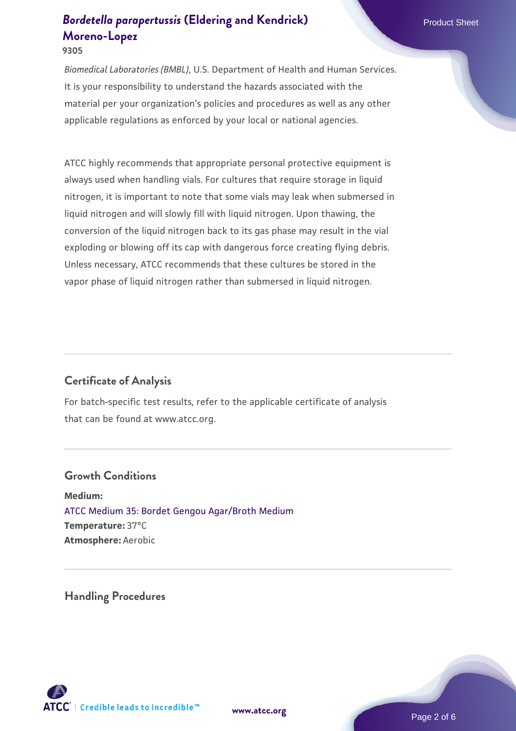**9305**

*Biomedical Laboratories (BMBL)*, U.S. Department of Health and Human Services. It is your responsibility to understand the hazards associated with the material per your organization's policies and procedures as well as any other applicable regulations as enforced by your local or national agencies.

ATCC highly recommends that appropriate personal protective equipment is always used when handling vials. For cultures that require storage in liquid nitrogen, it is important to note that some vials may leak when submersed in liquid nitrogen and will slowly fill with liquid nitrogen. Upon thawing, the conversion of the liquid nitrogen back to its gas phase may result in the vial exploding or blowing off its cap with dangerous force creating flying debris. Unless necessary, ATCC recommends that these cultures be stored in the vapor phase of liquid nitrogen rather than submersed in liquid nitrogen.

### **Certificate of Analysis**

For batch-specific test results, refer to the applicable certificate of analysis that can be found at www.atcc.org.

#### **Growth Conditions**

**Medium:**  [ATCC Medium 35: Bordet Gengou Agar/Broth Medium](https://www.atcc.org/-/media/product-assets/documents/microbial-media-formulations/3/5/atcc-medium-35.pdf?rev=d0fbba270c00451aa35c61e155602643) **Temperature:** 37°C **Atmosphere:** Aerobic

**Handling Procedures**

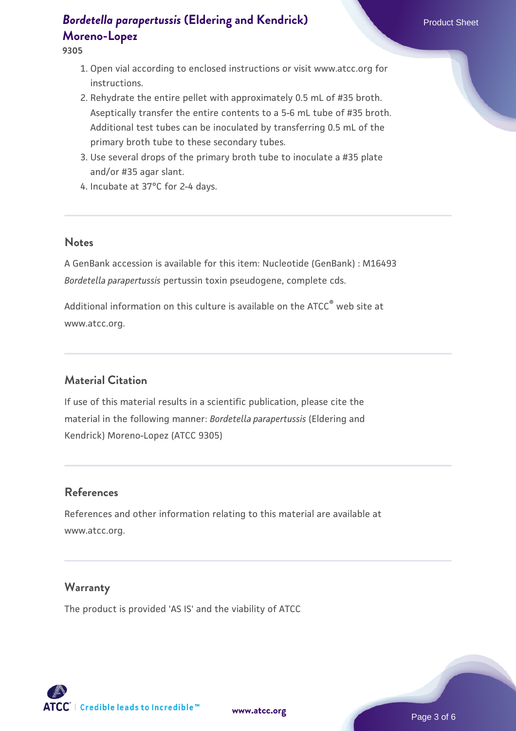**9305**

- 1. Open vial according to enclosed instructions or visit www.atcc.org for instructions.
- 2. Rehydrate the entire pellet with approximately 0.5 mL of #35 broth. Aseptically transfer the entire contents to a 5-6 mL tube of #35 broth. Additional test tubes can be inoculated by transferring 0.5 mL of the primary broth tube to these secondary tubes.
- 3. Use several drops of the primary broth tube to inoculate a #35 plate and/or #35 agar slant.
- 4. Incubate at 37°C for 2-4 days.

#### **Notes**

A GenBank accession is available for this item: Nucleotide (GenBank) : M16493 *Bordetella parapertussis* pertussin toxin pseudogene, complete cds.

Additional information on this culture is available on the ATCC® web site at www.atcc.org.

#### **Material Citation**

If use of this material results in a scientific publication, please cite the material in the following manner: *Bordetella parapertussis* (Eldering and Kendrick) Moreno-Lopez (ATCC 9305)

#### **References**

References and other information relating to this material are available at www.atcc.org.

#### **Warranty**

The product is provided 'AS IS' and the viability of ATCC

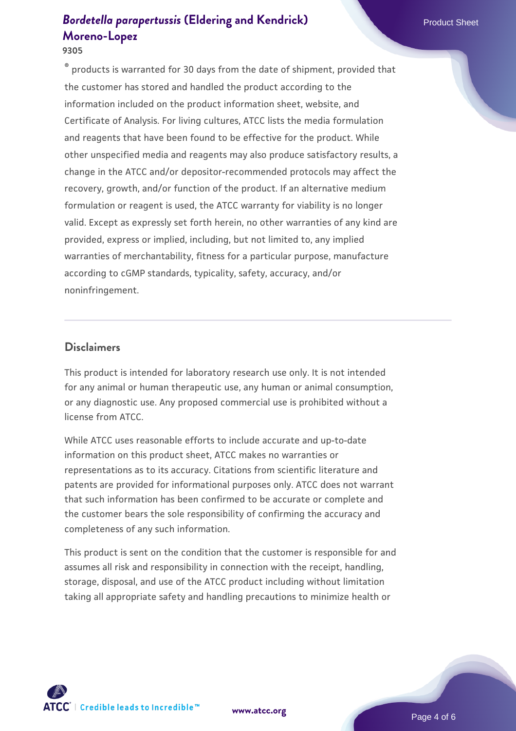#### **9305**

 $\degree$  products is warranted for 30 days from the date of shipment, provided that the customer has stored and handled the product according to the information included on the product information sheet, website, and Certificate of Analysis. For living cultures, ATCC lists the media formulation and reagents that have been found to be effective for the product. While other unspecified media and reagents may also produce satisfactory results, a change in the ATCC and/or depositor-recommended protocols may affect the recovery, growth, and/or function of the product. If an alternative medium formulation or reagent is used, the ATCC warranty for viability is no longer valid. Except as expressly set forth herein, no other warranties of any kind are provided, express or implied, including, but not limited to, any implied warranties of merchantability, fitness for a particular purpose, manufacture according to cGMP standards, typicality, safety, accuracy, and/or noninfringement.

#### **Disclaimers**

This product is intended for laboratory research use only. It is not intended for any animal or human therapeutic use, any human or animal consumption, or any diagnostic use. Any proposed commercial use is prohibited without a license from ATCC.

While ATCC uses reasonable efforts to include accurate and up-to-date information on this product sheet, ATCC makes no warranties or representations as to its accuracy. Citations from scientific literature and patents are provided for informational purposes only. ATCC does not warrant that such information has been confirmed to be accurate or complete and the customer bears the sole responsibility of confirming the accuracy and completeness of any such information.

This product is sent on the condition that the customer is responsible for and assumes all risk and responsibility in connection with the receipt, handling, storage, disposal, and use of the ATCC product including without limitation taking all appropriate safety and handling precautions to minimize health or



**[www.atcc.org](http://www.atcc.org)**

Page 4 of 6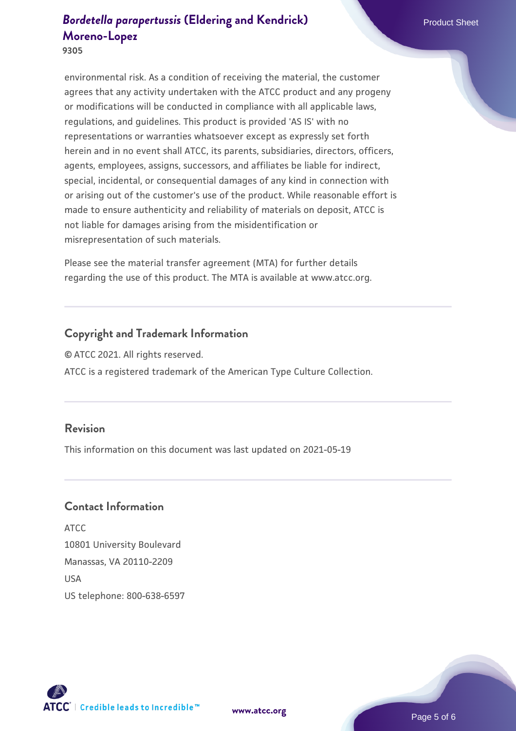**9305**

environmental risk. As a condition of receiving the material, the customer agrees that any activity undertaken with the ATCC product and any progeny or modifications will be conducted in compliance with all applicable laws, regulations, and guidelines. This product is provided 'AS IS' with no representations or warranties whatsoever except as expressly set forth herein and in no event shall ATCC, its parents, subsidiaries, directors, officers, agents, employees, assigns, successors, and affiliates be liable for indirect, special, incidental, or consequential damages of any kind in connection with or arising out of the customer's use of the product. While reasonable effort is made to ensure authenticity and reliability of materials on deposit, ATCC is not liable for damages arising from the misidentification or misrepresentation of such materials.

Please see the material transfer agreement (MTA) for further details regarding the use of this product. The MTA is available at www.atcc.org.

#### **Copyright and Trademark Information**

© ATCC 2021. All rights reserved.

ATCC is a registered trademark of the American Type Culture Collection.

#### **Revision**

This information on this document was last updated on 2021-05-19

#### **Contact Information**

ATCC 10801 University Boulevard Manassas, VA 20110-2209 **IISA** US telephone: 800-638-6597